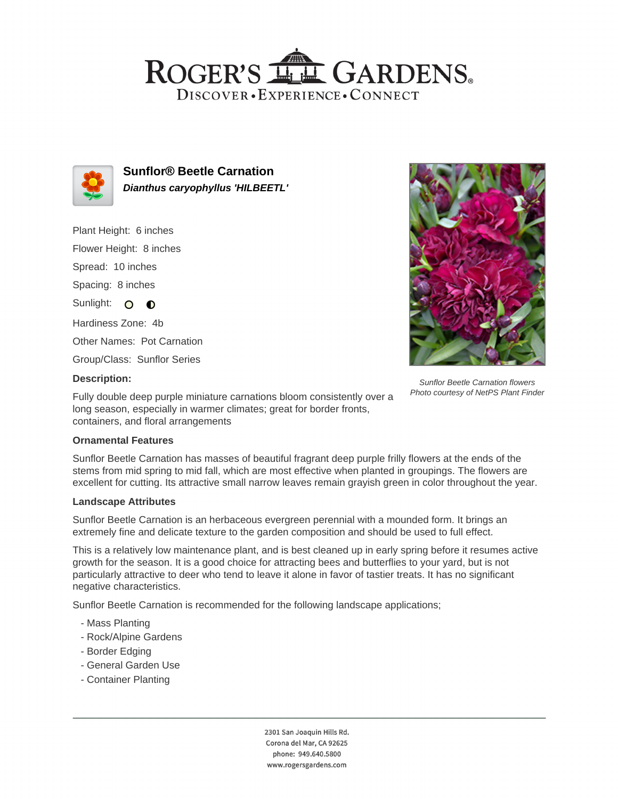## ROGER'S LL GARDENS. DISCOVER · EXPERIENCE · CONNECT



**Sunflor® Beetle Carnation Dianthus caryophyllus 'HILBEETL'**

Plant Height: 6 inches Flower Height: 8 inches Spread: 10 inches Spacing: 8 inches Sunlight: O O Hardiness Zone: 4b Other Names: Pot Carnation Group/Class: Sunflor Series



Sunflor Beetle Carnation flowers Photo courtesy of NetPS Plant Finder

#### **Description:**

Fully double deep purple miniature carnations bloom consistently over a long season, especially in warmer climates; great for border fronts, containers, and floral arrangements

### **Ornamental Features**

Sunflor Beetle Carnation has masses of beautiful fragrant deep purple frilly flowers at the ends of the stems from mid spring to mid fall, which are most effective when planted in groupings. The flowers are excellent for cutting. Its attractive small narrow leaves remain grayish green in color throughout the year.

### **Landscape Attributes**

Sunflor Beetle Carnation is an herbaceous evergreen perennial with a mounded form. It brings an extremely fine and delicate texture to the garden composition and should be used to full effect.

This is a relatively low maintenance plant, and is best cleaned up in early spring before it resumes active growth for the season. It is a good choice for attracting bees and butterflies to your yard, but is not particularly attractive to deer who tend to leave it alone in favor of tastier treats. It has no significant negative characteristics.

Sunflor Beetle Carnation is recommended for the following landscape applications;

- Mass Planting
- Rock/Alpine Gardens
- Border Edging
- General Garden Use
- Container Planting

2301 San Joaquin Hills Rd. Corona del Mar, CA 92625 phone: 949.640.5800 www.rogersgardens.com